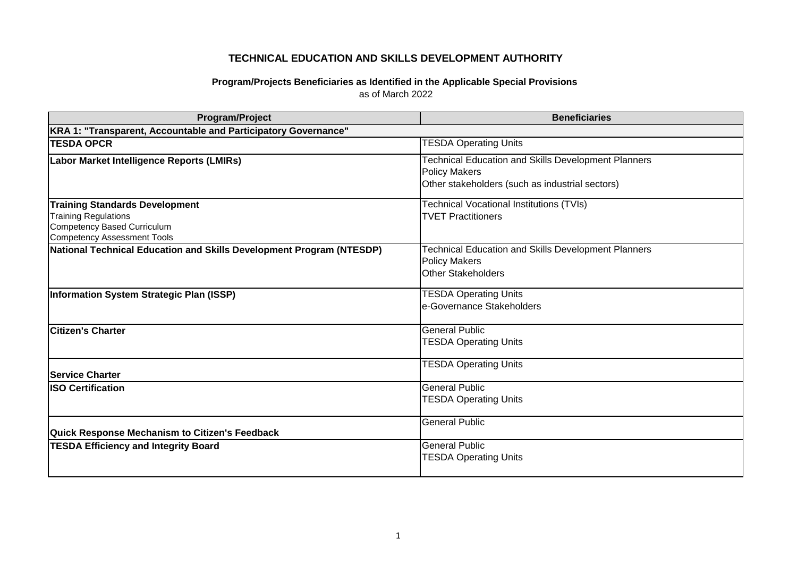## **TECHNICAL EDUCATION AND SKILLS DEVELOPMENT AUTHORITY**

## **Program/Projects Beneficiaries as Identified in the Applicable Special Provisions**  as of March 2022

| Program/Project                                                      | <b>Beneficiaries</b>                                                                                                                  |  |
|----------------------------------------------------------------------|---------------------------------------------------------------------------------------------------------------------------------------|--|
| KRA 1: "Transparent, Accountable and Participatory Governance"       |                                                                                                                                       |  |
| <b>TESDA OPCR</b>                                                    | <b>TESDA Operating Units</b>                                                                                                          |  |
| Labor Market Intelligence Reports (LMIRs)                            | <b>Technical Education and Skills Development Planners</b><br><b>Policy Makers</b><br>Other stakeholders (such as industrial sectors) |  |
| <b>Training Standards Development</b>                                | <b>Technical Vocational Institutions (TVIs)</b>                                                                                       |  |
| <b>Training Regulations</b>                                          | <b>TVET Practitioners</b>                                                                                                             |  |
| Competency Based Curriculum<br><b>Competency Assessment Tools</b>    |                                                                                                                                       |  |
| National Technical Education and Skills Development Program (NTESDP) | <b>Technical Education and Skills Development Planners</b><br><b>Policy Makers</b><br><b>Other Stakeholders</b>                       |  |
| Information System Strategic Plan (ISSP)                             | <b>TESDA Operating Units</b><br>e-Governance Stakeholders                                                                             |  |
| <b>Citizen's Charter</b>                                             | <b>General Public</b><br><b>TESDA Operating Units</b>                                                                                 |  |
| <b>Service Charter</b>                                               | <b>TESDA Operating Units</b>                                                                                                          |  |
| <b>ISO Certification</b>                                             | <b>General Public</b><br><b>TESDA Operating Units</b>                                                                                 |  |
| <b>Quick Response Mechanism to Citizen's Feedback</b>                | <b>General Public</b>                                                                                                                 |  |
| <b>TESDA Efficiency and Integrity Board</b>                          | <b>General Public</b><br><b>TESDA Operating Units</b>                                                                                 |  |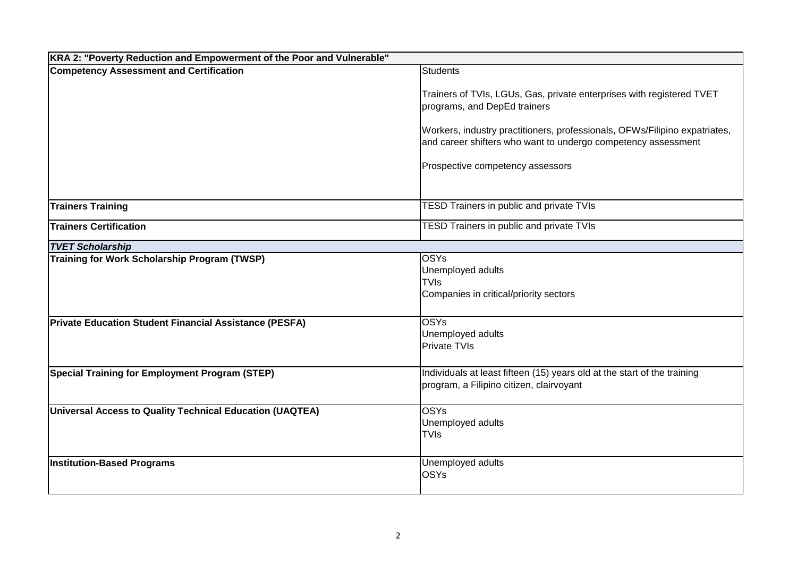| KRA 2: "Poverty Reduction and Empowerment of the Poor and Vulnerable" |                                                                                                                                                                                                                                                                                          |  |
|-----------------------------------------------------------------------|------------------------------------------------------------------------------------------------------------------------------------------------------------------------------------------------------------------------------------------------------------------------------------------|--|
| <b>Competency Assessment and Certification</b>                        | <b>Students</b>                                                                                                                                                                                                                                                                          |  |
|                                                                       | Trainers of TVIs, LGUs, Gas, private enterprises with registered TVET<br>programs, and DepEd trainers<br>Workers, industry practitioners, professionals, OFWs/Filipino expatriates,<br>and career shifters who want to undergo competency assessment<br>Prospective competency assessors |  |
| <b>Trainers Training</b>                                              | <b>TESD Trainers in public and private TVIs</b>                                                                                                                                                                                                                                          |  |
| <b>Trainers Certification</b>                                         | <b>TESD Trainers in public and private TVIs</b>                                                                                                                                                                                                                                          |  |
| <b>TVET Scholarship</b>                                               |                                                                                                                                                                                                                                                                                          |  |
| Training for Work Scholarship Program (TWSP)                          | <b>OSYs</b><br>Unemployed adults<br><b>TVIs</b><br>Companies in critical/priority sectors                                                                                                                                                                                                |  |
| <b>Private Education Student Financial Assistance (PESFA)</b>         | <b>OSYs</b><br>Unemployed adults<br><b>Private TVIs</b>                                                                                                                                                                                                                                  |  |
| <b>Special Training for Employment Program (STEP)</b>                 | Individuals at least fifteen (15) years old at the start of the training<br>program, a Filipino citizen, clairvoyant                                                                                                                                                                     |  |
| Universal Access to Quality Technical Education (UAQTEA)              | <b>OSYs</b><br>Unemployed adults<br><b>TVIs</b>                                                                                                                                                                                                                                          |  |
| <b>Institution-Based Programs</b>                                     | Unemployed adults<br><b>OSYs</b>                                                                                                                                                                                                                                                         |  |